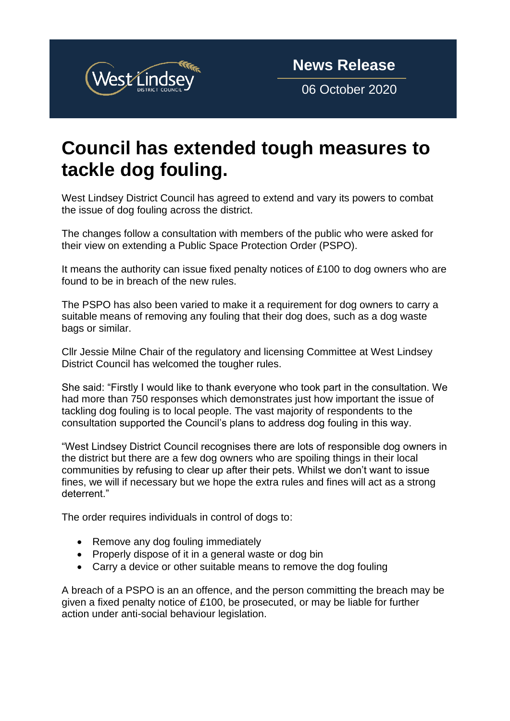

06 October 2020

## **Council has extended tough measures to tackle dog fouling.**

West Lindsey District Council has agreed to extend and vary its powers to combat the issue of dog fouling across the district.

The changes follow a consultation with members of the public who were asked for their view on extending a Public Space Protection Order (PSPO).

It means the authority can issue fixed penalty notices of £100 to dog owners who are found to be in breach of the new rules.

The PSPO has also been varied to make it a requirement for dog owners to carry a suitable means of removing any fouling that their dog does, such as a dog waste bags or similar.

Cllr Jessie Milne Chair of the regulatory and licensing Committee at West Lindsey District Council has welcomed the tougher rules.

She said: "Firstly I would like to thank everyone who took part in the consultation. We had more than 750 responses which demonstrates just how important the issue of tackling dog fouling is to local people. The vast majority of respondents to the consultation supported the Council's plans to address dog fouling in this way.

"West Lindsey District Council recognises there are lots of responsible dog owners in the district but there are a few dog owners who are spoiling things in their local communities by refusing to clear up after their pets. Whilst we don't want to issue fines, we will if necessary but we hope the extra rules and fines will act as a strong deterrent."

The order requires individuals in control of dogs to:

- Remove any dog fouling immediately
- Properly dispose of it in a general waste or dog bin
- Carry a device or other suitable means to remove the dog fouling

A breach of a PSPO is an an offence, and the person committing the breach may be given a fixed penalty notice of £100, be prosecuted, or may be liable for further action under anti-social behaviour legislation.